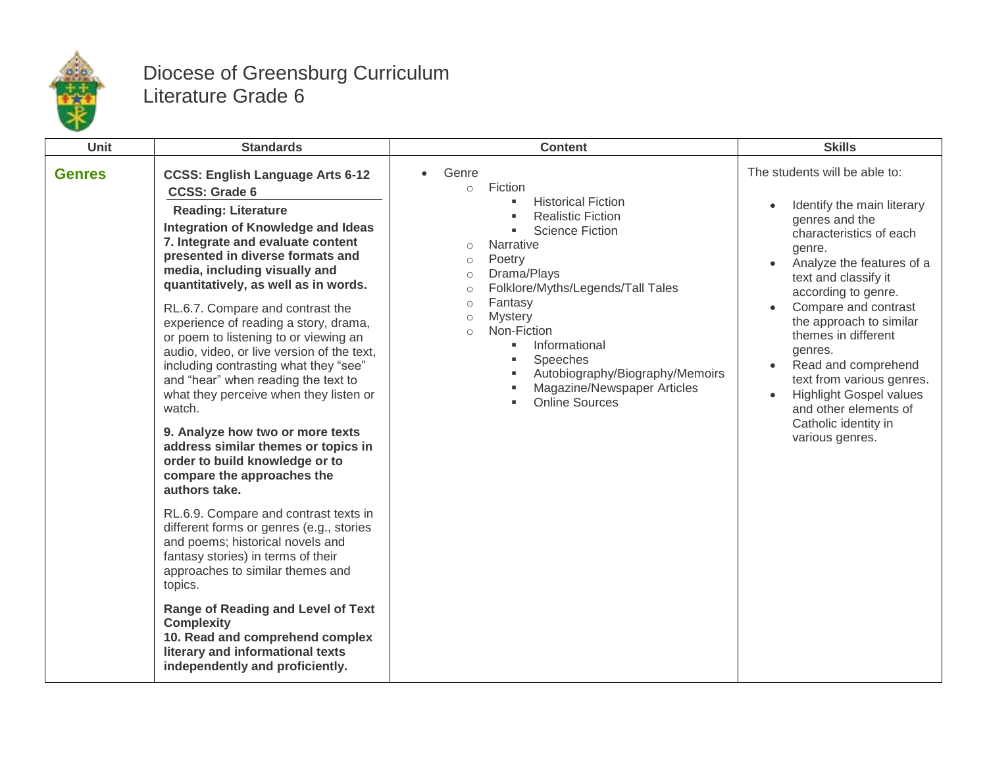

## Diocese of Greensburg Curriculum Literature Grade 6

| <b>Unit</b><br><b>Standards</b>                                                                                                                                                                                                                                                                                                                                                                                                                                                                                                                                                                                                                                                                                                                                                                                                                                                                                                                                                                                                                                                                                                                                      | <b>Content</b>                                                                                                                                                                                                                                                                                                                                                                                                                                                                        | <b>Skills</b>                                                                                                                                                                                                                                                                                                                                                                                                                                                                                                  |
|----------------------------------------------------------------------------------------------------------------------------------------------------------------------------------------------------------------------------------------------------------------------------------------------------------------------------------------------------------------------------------------------------------------------------------------------------------------------------------------------------------------------------------------------------------------------------------------------------------------------------------------------------------------------------------------------------------------------------------------------------------------------------------------------------------------------------------------------------------------------------------------------------------------------------------------------------------------------------------------------------------------------------------------------------------------------------------------------------------------------------------------------------------------------|---------------------------------------------------------------------------------------------------------------------------------------------------------------------------------------------------------------------------------------------------------------------------------------------------------------------------------------------------------------------------------------------------------------------------------------------------------------------------------------|----------------------------------------------------------------------------------------------------------------------------------------------------------------------------------------------------------------------------------------------------------------------------------------------------------------------------------------------------------------------------------------------------------------------------------------------------------------------------------------------------------------|
| <b>Genres</b><br><b>CCSS: English Language Arts 6-12</b><br><b>CCSS: Grade 6</b><br><b>Reading: Literature</b><br>Integration of Knowledge and Ideas<br>7. Integrate and evaluate content<br>presented in diverse formats and<br>media, including visually and<br>quantitatively, as well as in words.<br>RL.6.7. Compare and contrast the<br>experience of reading a story, drama,<br>or poem to listening to or viewing an<br>audio, video, or live version of the text,<br>including contrasting what they "see"<br>and "hear" when reading the text to<br>what they perceive when they listen or<br>watch.<br>9. Analyze how two or more texts<br>address similar themes or topics in<br>order to build knowledge or to<br>compare the approaches the<br>authors take.<br>RL.6.9. Compare and contrast texts in<br>different forms or genres (e.g., stories<br>and poems; historical novels and<br>fantasy stories) in terms of their<br>approaches to similar themes and<br>topics.<br><b>Range of Reading and Level of Text</b><br><b>Complexity</b><br>10. Read and comprehend complex<br>literary and informational texts<br>independently and proficiently. | Genre<br>Fiction<br>$\circ$<br><b>Historical Fiction</b><br>л<br><b>Realistic Fiction</b><br>$\blacksquare$<br><b>Science Fiction</b><br>Narrative<br>$\circ$<br>Poetry<br>$\circ$<br>Drama/Plays<br>$\circ$<br>Folklore/Myths/Legends/Tall Tales<br>$\circ$<br>Fantasy<br>$\circ$<br><b>Mystery</b><br>$\circ$<br>Non-Fiction<br>$\circ$<br>Informational<br>٠<br>Speeches<br>٠<br>Autobiography/Biography/Memoirs<br>٠<br>Magazine/Newspaper Articles<br>٠<br><b>Online Sources</b> | The students will be able to:<br>Identify the main literary<br>$\bullet$<br>genres and the<br>characteristics of each<br>genre.<br>Analyze the features of a<br>$\bullet$<br>text and classify it<br>according to genre.<br>Compare and contrast<br>$\bullet$<br>the approach to similar<br>themes in different<br>genres.<br>Read and comprehend<br>$\bullet$<br>text from various genres.<br><b>Highlight Gospel values</b><br>$\bullet$<br>and other elements of<br>Catholic identity in<br>various genres. |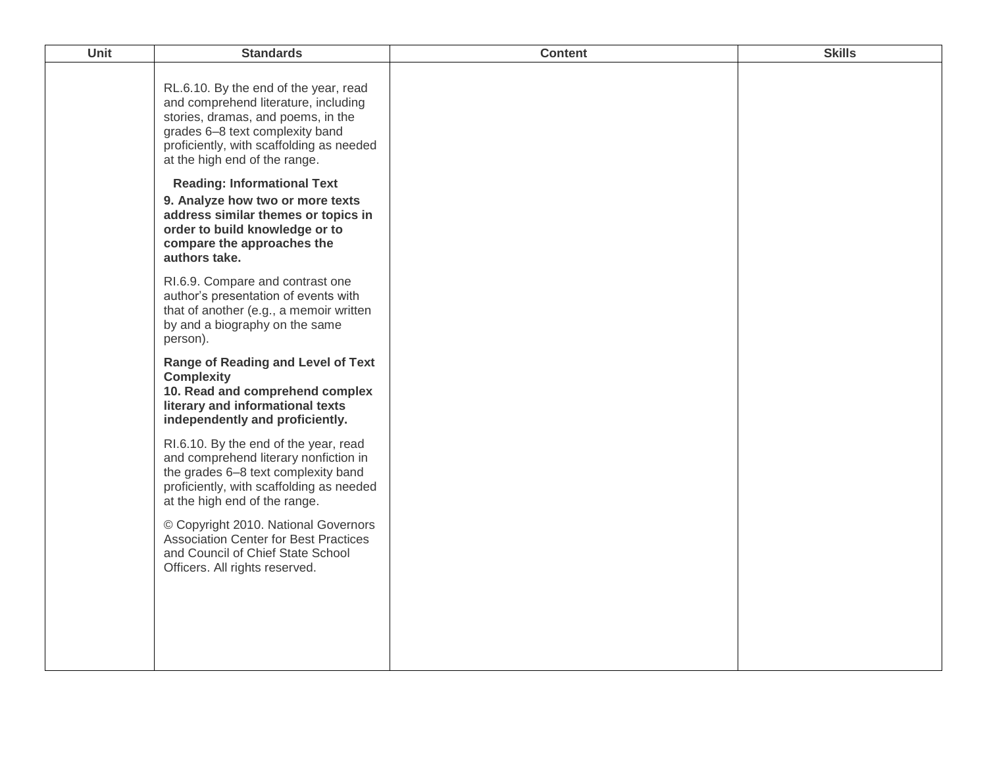| Unit | <b>Standards</b>                                                                                                                                                                                                                    | <b>Content</b> | <b>Skills</b> |
|------|-------------------------------------------------------------------------------------------------------------------------------------------------------------------------------------------------------------------------------------|----------------|---------------|
|      | RL.6.10. By the end of the year, read<br>and comprehend literature, including<br>stories, dramas, and poems, in the<br>grades 6-8 text complexity band<br>proficiently, with scaffolding as needed<br>at the high end of the range. |                |               |
|      | <b>Reading: Informational Text</b><br>9. Analyze how two or more texts<br>address similar themes or topics in<br>order to build knowledge or to<br>compare the approaches the<br>authors take.                                      |                |               |
|      | RI.6.9. Compare and contrast one<br>author's presentation of events with<br>that of another (e.g., a memoir written<br>by and a biography on the same<br>person).                                                                   |                |               |
|      | <b>Range of Reading and Level of Text</b><br><b>Complexity</b><br>10. Read and comprehend complex<br>literary and informational texts<br>independently and proficiently.                                                            |                |               |
|      | RI.6.10. By the end of the year, read<br>and comprehend literary nonfiction in<br>the grades 6-8 text complexity band<br>proficiently, with scaffolding as needed<br>at the high end of the range.                                  |                |               |
|      | © Copyright 2010. National Governors<br><b>Association Center for Best Practices</b><br>and Council of Chief State School<br>Officers. All rights reserved.                                                                         |                |               |
|      |                                                                                                                                                                                                                                     |                |               |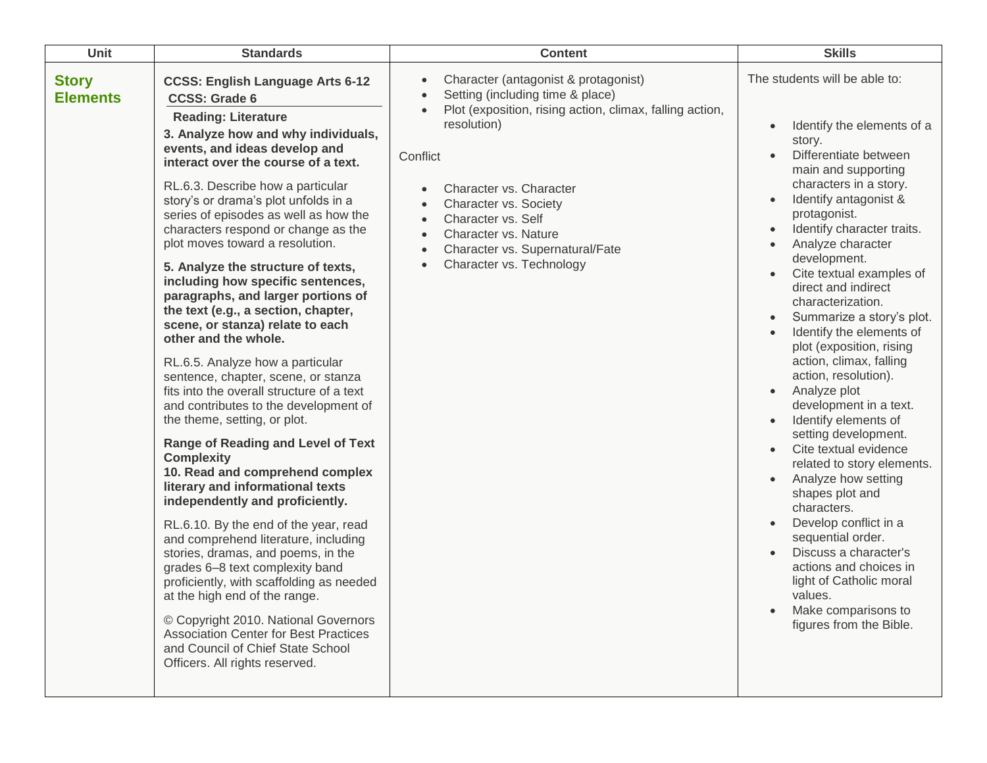| Unit                            | <b>Standards</b>                                                                                                                                                                                                                                                                                                                                                                                                                                                                                                                                                                                                                                                                                                                                                                                                                                                                                                                                                                                                                                                                                                                                                                                                                                                                                                                                                                                             | <b>Content</b>                                                                                                                                                                                                                                                                                                                   | <b>Skills</b>                                                                                                                                                                                                                                                                                                                                                                                                                                                                                                                                                                                                                                                                                                                                                                                                                                                                                                         |
|---------------------------------|--------------------------------------------------------------------------------------------------------------------------------------------------------------------------------------------------------------------------------------------------------------------------------------------------------------------------------------------------------------------------------------------------------------------------------------------------------------------------------------------------------------------------------------------------------------------------------------------------------------------------------------------------------------------------------------------------------------------------------------------------------------------------------------------------------------------------------------------------------------------------------------------------------------------------------------------------------------------------------------------------------------------------------------------------------------------------------------------------------------------------------------------------------------------------------------------------------------------------------------------------------------------------------------------------------------------------------------------------------------------------------------------------------------|----------------------------------------------------------------------------------------------------------------------------------------------------------------------------------------------------------------------------------------------------------------------------------------------------------------------------------|-----------------------------------------------------------------------------------------------------------------------------------------------------------------------------------------------------------------------------------------------------------------------------------------------------------------------------------------------------------------------------------------------------------------------------------------------------------------------------------------------------------------------------------------------------------------------------------------------------------------------------------------------------------------------------------------------------------------------------------------------------------------------------------------------------------------------------------------------------------------------------------------------------------------------|
| <b>Story</b><br><b>Elements</b> | <b>CCSS: English Language Arts 6-12</b><br><b>CCSS: Grade 6</b><br><b>Reading: Literature</b><br>3. Analyze how and why individuals,<br>events, and ideas develop and<br>interact over the course of a text.<br>RL.6.3. Describe how a particular<br>story's or drama's plot unfolds in a<br>series of episodes as well as how the<br>characters respond or change as the<br>plot moves toward a resolution.<br>5. Analyze the structure of texts,<br>including how specific sentences,<br>paragraphs, and larger portions of<br>the text (e.g., a section, chapter,<br>scene, or stanza) relate to each<br>other and the whole.<br>RL.6.5. Analyze how a particular<br>sentence, chapter, scene, or stanza<br>fits into the overall structure of a text<br>and contributes to the development of<br>the theme, setting, or plot.<br>Range of Reading and Level of Text<br><b>Complexity</b><br>10. Read and comprehend complex<br>literary and informational texts<br>independently and proficiently.<br>RL.6.10. By the end of the year, read<br>and comprehend literature, including<br>stories, dramas, and poems, in the<br>grades 6-8 text complexity band<br>proficiently, with scaffolding as needed<br>at the high end of the range.<br>© Copyright 2010. National Governors<br><b>Association Center for Best Practices</b><br>and Council of Chief State School<br>Officers. All rights reserved. | Character (antagonist & protagonist)<br>Setting (including time & place)<br>Plot (exposition, rising action, climax, falling action,<br>resolution)<br>Conflict<br>Character vs. Character<br>Character vs. Society<br>Character vs. Self<br>Character vs. Nature<br>Character vs. Supernatural/Fate<br>Character vs. Technology | The students will be able to:<br>Identify the elements of a<br>story.<br>Differentiate between<br>$\bullet$<br>main and supporting<br>characters in a story.<br>Identify antagonist &<br>protagonist.<br>Identify character traits.<br>$\bullet$<br>Analyze character<br>development.<br>Cite textual examples of<br>direct and indirect<br>characterization.<br>Summarize a story's plot.<br>Identify the elements of<br>plot (exposition, rising<br>action, climax, falling<br>action, resolution).<br>Analyze plot<br>$\bullet$<br>development in a text.<br>Identify elements of<br>setting development.<br>Cite textual evidence<br>related to story elements.<br>Analyze how setting<br>shapes plot and<br>characters.<br>Develop conflict in a<br>sequential order.<br>Discuss a character's<br>actions and choices in<br>light of Catholic moral<br>values.<br>Make comparisons to<br>figures from the Bible. |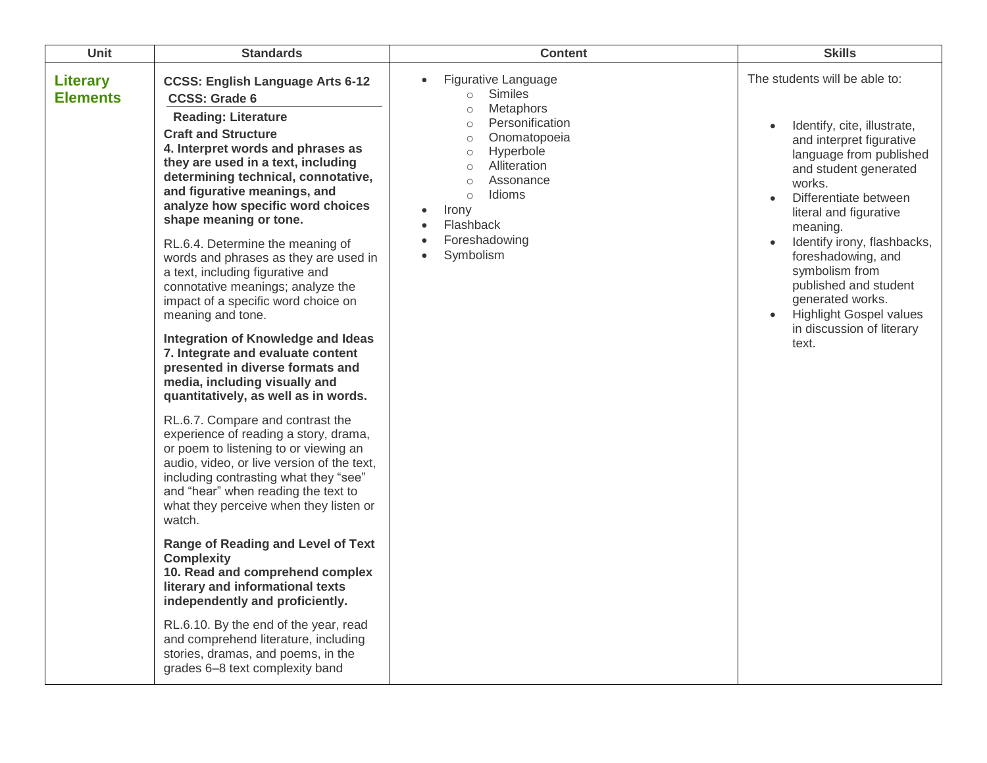| Unit                               | <b>Standards</b>                                                                                                                                                                                                                                                                                                                                                                                                                                                                                                                                                                                                                                                                                                                                                                                                                                                                                                                                                                                                                                                                                                                                                                                                                                                                                                                                                                                     | <b>Content</b>                                                                                                                                                                                                                                                                                                                                                | <b>Skills</b>                                                                                                                                                                                                                                                                                                                                                                                                                                                         |
|------------------------------------|------------------------------------------------------------------------------------------------------------------------------------------------------------------------------------------------------------------------------------------------------------------------------------------------------------------------------------------------------------------------------------------------------------------------------------------------------------------------------------------------------------------------------------------------------------------------------------------------------------------------------------------------------------------------------------------------------------------------------------------------------------------------------------------------------------------------------------------------------------------------------------------------------------------------------------------------------------------------------------------------------------------------------------------------------------------------------------------------------------------------------------------------------------------------------------------------------------------------------------------------------------------------------------------------------------------------------------------------------------------------------------------------------|---------------------------------------------------------------------------------------------------------------------------------------------------------------------------------------------------------------------------------------------------------------------------------------------------------------------------------------------------------------|-----------------------------------------------------------------------------------------------------------------------------------------------------------------------------------------------------------------------------------------------------------------------------------------------------------------------------------------------------------------------------------------------------------------------------------------------------------------------|
| <b>Literary</b><br><b>Elements</b> | <b>CCSS: English Language Arts 6-12</b><br><b>CCSS: Grade 6</b><br><b>Reading: Literature</b><br><b>Craft and Structure</b><br>4. Interpret words and phrases as<br>they are used in a text, including<br>determining technical, connotative,<br>and figurative meanings, and<br>analyze how specific word choices<br>shape meaning or tone.<br>RL.6.4. Determine the meaning of<br>words and phrases as they are used in<br>a text, including figurative and<br>connotative meanings; analyze the<br>impact of a specific word choice on<br>meaning and tone.<br>Integration of Knowledge and Ideas<br>7. Integrate and evaluate content<br>presented in diverse formats and<br>media, including visually and<br>quantitatively, as well as in words.<br>RL.6.7. Compare and contrast the<br>experience of reading a story, drama,<br>or poem to listening to or viewing an<br>audio, video, or live version of the text,<br>including contrasting what they "see"<br>and "hear" when reading the text to<br>what they perceive when they listen or<br>watch.<br><b>Range of Reading and Level of Text</b><br><b>Complexity</b><br>10. Read and comprehend complex<br>literary and informational texts<br>independently and proficiently.<br>RL.6.10. By the end of the year, read<br>and comprehend literature, including<br>stories, dramas, and poems, in the<br>grades 6-8 text complexity band | Figurative Language<br>$\bullet$<br><b>Similes</b><br>$\circ$<br><b>Metaphors</b><br>$\circ$<br>Personification<br>$\circ$<br>Onomatopoeia<br>$\circ$<br>Hyperbole<br>$\circ$<br>Alliteration<br>$\circ$<br>Assonance<br>$\circ$<br>Idioms<br>$\circ$<br>Irony<br>$\bullet$<br>Flashback<br>$\bullet$<br>Foreshadowing<br>$\bullet$<br>Symbolism<br>$\bullet$ | The students will be able to:<br>Identify, cite, illustrate,<br>$\bullet$<br>and interpret figurative<br>language from published<br>and student generated<br>works.<br>Differentiate between<br>$\bullet$<br>literal and figurative<br>meaning.<br>Identify irony, flashbacks,<br>$\bullet$<br>foreshadowing, and<br>symbolism from<br>published and student<br>generated works.<br><b>Highlight Gospel values</b><br>$\bullet$<br>in discussion of literary<br>text. |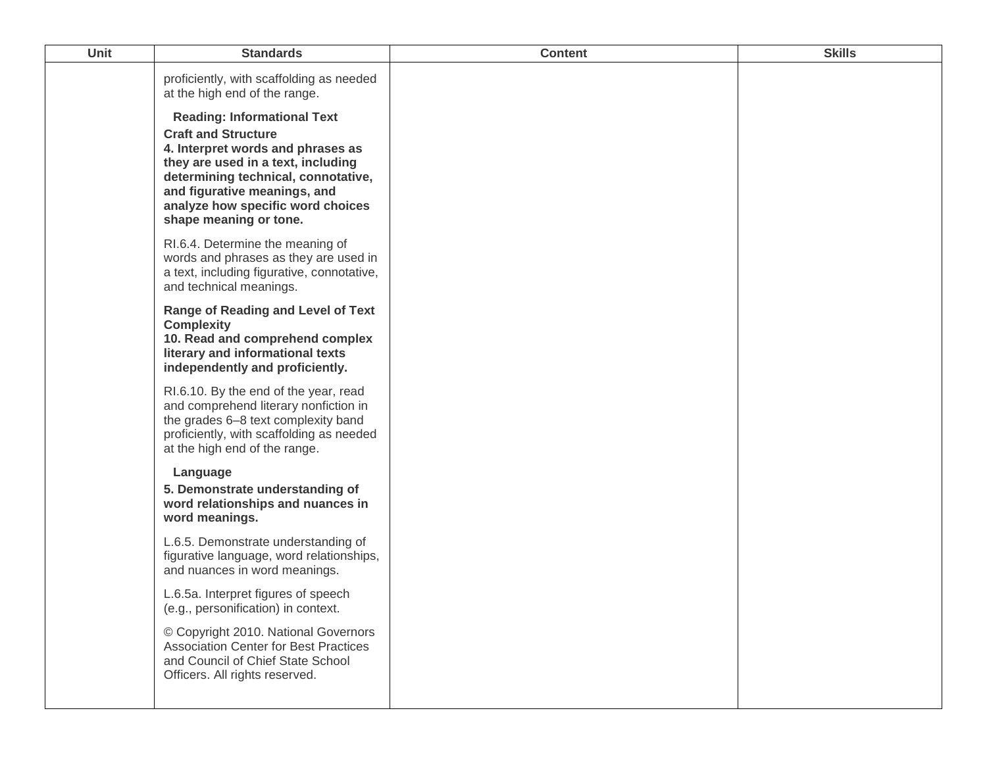| Unit | <b>Standards</b>                                                                                                                                                                                                                                                                  | <b>Content</b> | <b>Skills</b> |
|------|-----------------------------------------------------------------------------------------------------------------------------------------------------------------------------------------------------------------------------------------------------------------------------------|----------------|---------------|
|      | proficiently, with scaffolding as needed<br>at the high end of the range.                                                                                                                                                                                                         |                |               |
|      | <b>Reading: Informational Text</b><br><b>Craft and Structure</b><br>4. Interpret words and phrases as<br>they are used in a text, including<br>determining technical, connotative,<br>and figurative meanings, and<br>analyze how specific word choices<br>shape meaning or tone. |                |               |
|      | RI.6.4. Determine the meaning of<br>words and phrases as they are used in<br>a text, including figurative, connotative,<br>and technical meanings.                                                                                                                                |                |               |
|      | <b>Range of Reading and Level of Text</b><br><b>Complexity</b><br>10. Read and comprehend complex<br>literary and informational texts<br>independently and proficiently.                                                                                                          |                |               |
|      | RI.6.10. By the end of the year, read<br>and comprehend literary nonfiction in<br>the grades 6-8 text complexity band<br>proficiently, with scaffolding as needed<br>at the high end of the range.                                                                                |                |               |
|      | Language<br>5. Demonstrate understanding of<br>word relationships and nuances in<br>word meanings.                                                                                                                                                                                |                |               |
|      | L.6.5. Demonstrate understanding of<br>figurative language, word relationships,<br>and nuances in word meanings.                                                                                                                                                                  |                |               |
|      | L.6.5a. Interpret figures of speech<br>(e.g., personification) in context.                                                                                                                                                                                                        |                |               |
|      | © Copyright 2010. National Governors<br><b>Association Center for Best Practices</b><br>and Council of Chief State School<br>Officers. All rights reserved.                                                                                                                       |                |               |
|      |                                                                                                                                                                                                                                                                                   |                |               |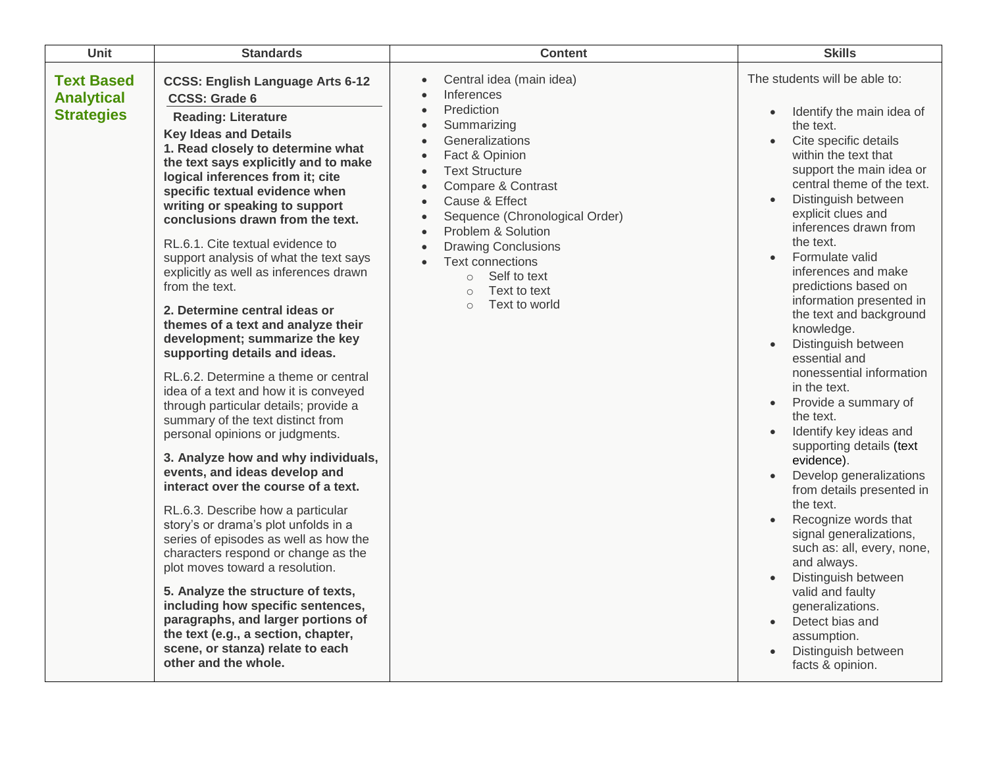| <b>Unit</b>                                                 | <b>Standards</b>                                                                                                                                                                                                                                                                                                                                                                                                                                                                                                                                                                                                                                                                                                                                                                                                                                                                                                                                                                                                                                                                                                                                                                                                                                                                                                                                                                | <b>Content</b>                                                                                                                                                                                                                                                                                                                                                                                                                                   | <b>Skills</b>                                                                                                                                                                                                                                                                                                                                                                                                                                                                                                                                                                                                                                                                                                                                                                                                                                                                                                                                                                                            |
|-------------------------------------------------------------|---------------------------------------------------------------------------------------------------------------------------------------------------------------------------------------------------------------------------------------------------------------------------------------------------------------------------------------------------------------------------------------------------------------------------------------------------------------------------------------------------------------------------------------------------------------------------------------------------------------------------------------------------------------------------------------------------------------------------------------------------------------------------------------------------------------------------------------------------------------------------------------------------------------------------------------------------------------------------------------------------------------------------------------------------------------------------------------------------------------------------------------------------------------------------------------------------------------------------------------------------------------------------------------------------------------------------------------------------------------------------------|--------------------------------------------------------------------------------------------------------------------------------------------------------------------------------------------------------------------------------------------------------------------------------------------------------------------------------------------------------------------------------------------------------------------------------------------------|----------------------------------------------------------------------------------------------------------------------------------------------------------------------------------------------------------------------------------------------------------------------------------------------------------------------------------------------------------------------------------------------------------------------------------------------------------------------------------------------------------------------------------------------------------------------------------------------------------------------------------------------------------------------------------------------------------------------------------------------------------------------------------------------------------------------------------------------------------------------------------------------------------------------------------------------------------------------------------------------------------|
| <b>Text Based</b><br><b>Analytical</b><br><b>Strategies</b> | <b>CCSS: English Language Arts 6-12</b><br><b>CCSS: Grade 6</b><br><b>Reading: Literature</b><br><b>Key Ideas and Details</b><br>1. Read closely to determine what<br>the text says explicitly and to make<br>logical inferences from it; cite<br>specific textual evidence when<br>writing or speaking to support<br>conclusions drawn from the text.<br>RL.6.1. Cite textual evidence to<br>support analysis of what the text says<br>explicitly as well as inferences drawn<br>from the text.<br>2. Determine central ideas or<br>themes of a text and analyze their<br>development; summarize the key<br>supporting details and ideas.<br>RL.6.2. Determine a theme or central<br>idea of a text and how it is conveyed<br>through particular details; provide a<br>summary of the text distinct from<br>personal opinions or judgments.<br>3. Analyze how and why individuals,<br>events, and ideas develop and<br>interact over the course of a text.<br>RL.6.3. Describe how a particular<br>story's or drama's plot unfolds in a<br>series of episodes as well as how the<br>characters respond or change as the<br>plot moves toward a resolution.<br>5. Analyze the structure of texts,<br>including how specific sentences,<br>paragraphs, and larger portions of<br>the text (e.g., a section, chapter,<br>scene, or stanza) relate to each<br>other and the whole. | Central idea (main idea)<br>$\bullet$<br>Inferences<br>Prediction<br>$\bullet$<br>Summarizing<br>Generalizations<br>Fact & Opinion<br><b>Text Structure</b><br>$\bullet$<br>Compare & Contrast<br>Cause & Effect<br>$\bullet$<br>Sequence (Chronological Order)<br>Problem & Solution<br>$\bullet$<br><b>Drawing Conclusions</b><br><b>Text connections</b><br>Self to text<br>$\circ$<br>Text to text<br>$\circ$<br>Text to world<br>$\bigcirc$ | The students will be able to:<br>Identify the main idea of<br>the text.<br>Cite specific details<br>$\bullet$<br>within the text that<br>support the main idea or<br>central theme of the text.<br>Distinguish between<br>explicit clues and<br>inferences drawn from<br>the text.<br>Formulate valid<br>$\bullet$<br>inferences and make<br>predictions based on<br>information presented in<br>the text and background<br>knowledge.<br>Distinguish between<br>$\bullet$<br>essential and<br>nonessential information<br>in the text.<br>Provide a summary of<br>$\bullet$<br>the text.<br>Identify key ideas and<br>$\bullet$<br>supporting details (text<br>evidence).<br>Develop generalizations<br>from details presented in<br>the text.<br>Recognize words that<br>signal generalizations,<br>such as: all, every, none,<br>and always.<br>Distinguish between<br>valid and faulty<br>generalizations.<br>Detect bias and<br>$\bullet$<br>assumption.<br>Distinguish between<br>facts & opinion. |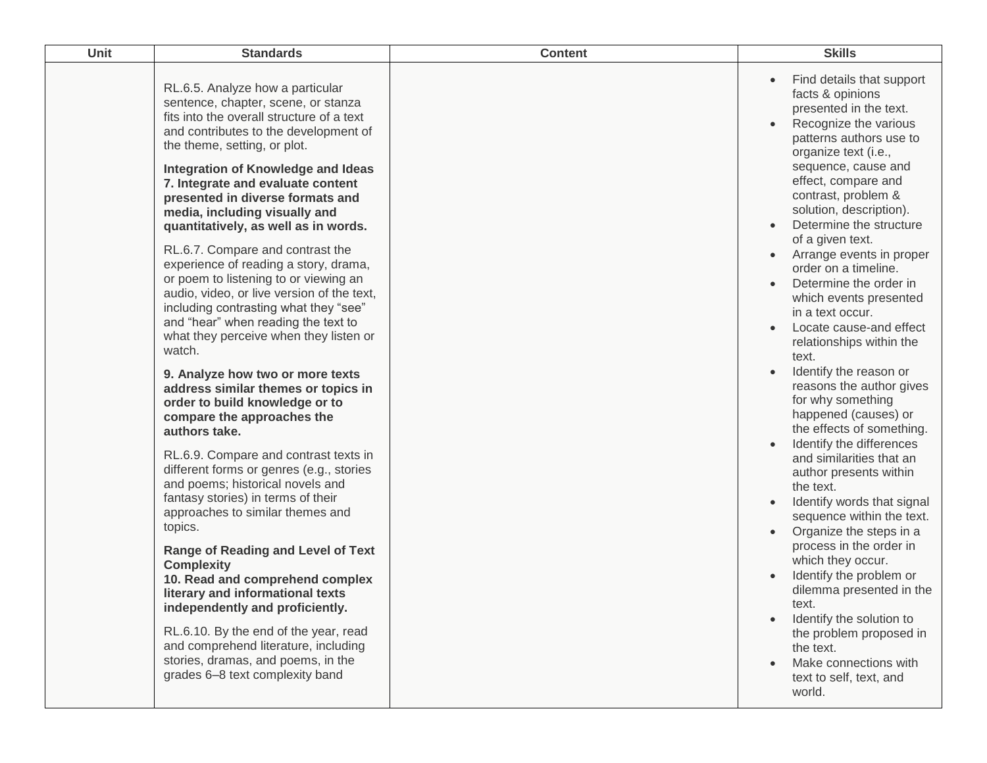| Unit | <b>Standards</b>                                                                                                                                                                                                                                                                                                                                                                                                                                                                                                                                                                                                                                                                                                                                                                                                                                                                                                                                                                                                                                                                                                                                                                                                                                                                                                                                                                                              | <b>Content</b> | <b>Skills</b>                                                                                                                                                                                                                                                                                                                                                                                                                                                                                                                                                                                                                                                                                                                                                                                                                                                                                                                                                                                                                                                         |
|------|---------------------------------------------------------------------------------------------------------------------------------------------------------------------------------------------------------------------------------------------------------------------------------------------------------------------------------------------------------------------------------------------------------------------------------------------------------------------------------------------------------------------------------------------------------------------------------------------------------------------------------------------------------------------------------------------------------------------------------------------------------------------------------------------------------------------------------------------------------------------------------------------------------------------------------------------------------------------------------------------------------------------------------------------------------------------------------------------------------------------------------------------------------------------------------------------------------------------------------------------------------------------------------------------------------------------------------------------------------------------------------------------------------------|----------------|-----------------------------------------------------------------------------------------------------------------------------------------------------------------------------------------------------------------------------------------------------------------------------------------------------------------------------------------------------------------------------------------------------------------------------------------------------------------------------------------------------------------------------------------------------------------------------------------------------------------------------------------------------------------------------------------------------------------------------------------------------------------------------------------------------------------------------------------------------------------------------------------------------------------------------------------------------------------------------------------------------------------------------------------------------------------------|
|      | RL.6.5. Analyze how a particular<br>sentence, chapter, scene, or stanza<br>fits into the overall structure of a text<br>and contributes to the development of<br>the theme, setting, or plot.<br>Integration of Knowledge and Ideas<br>7. Integrate and evaluate content<br>presented in diverse formats and<br>media, including visually and<br>quantitatively, as well as in words.<br>RL.6.7. Compare and contrast the<br>experience of reading a story, drama,<br>or poem to listening to or viewing an<br>audio, video, or live version of the text,<br>including contrasting what they "see"<br>and "hear" when reading the text to<br>what they perceive when they listen or<br>watch.<br>9. Analyze how two or more texts<br>address similar themes or topics in<br>order to build knowledge or to<br>compare the approaches the<br>authors take.<br>RL.6.9. Compare and contrast texts in<br>different forms or genres (e.g., stories<br>and poems; historical novels and<br>fantasy stories) in terms of their<br>approaches to similar themes and<br>topics.<br><b>Range of Reading and Level of Text</b><br><b>Complexity</b><br>10. Read and comprehend complex<br>literary and informational texts<br>independently and proficiently.<br>RL.6.10. By the end of the year, read<br>and comprehend literature, including<br>stories, dramas, and poems, in the<br>grades 6-8 text complexity band |                | Find details that support<br>facts & opinions<br>presented in the text.<br>Recognize the various<br>patterns authors use to<br>organize text (i.e.,<br>sequence, cause and<br>effect, compare and<br>contrast, problem &<br>solution, description).<br>Determine the structure<br>of a given text.<br>Arrange events in proper<br>order on a timeline.<br>Determine the order in<br>which events presented<br>in a text occur.<br>Locate cause-and effect<br>relationships within the<br>text.<br>Identify the reason or<br>reasons the author gives<br>for why something<br>happened (causes) or<br>the effects of something.<br>Identify the differences<br>and similarities that an<br>author presents within<br>the text.<br>Identify words that signal<br>sequence within the text.<br>Organize the steps in a<br>process in the order in<br>which they occur.<br>Identify the problem or<br>dilemma presented in the<br>text.<br>Identify the solution to<br>the problem proposed in<br>the text.<br>Make connections with<br>text to self, text, and<br>world. |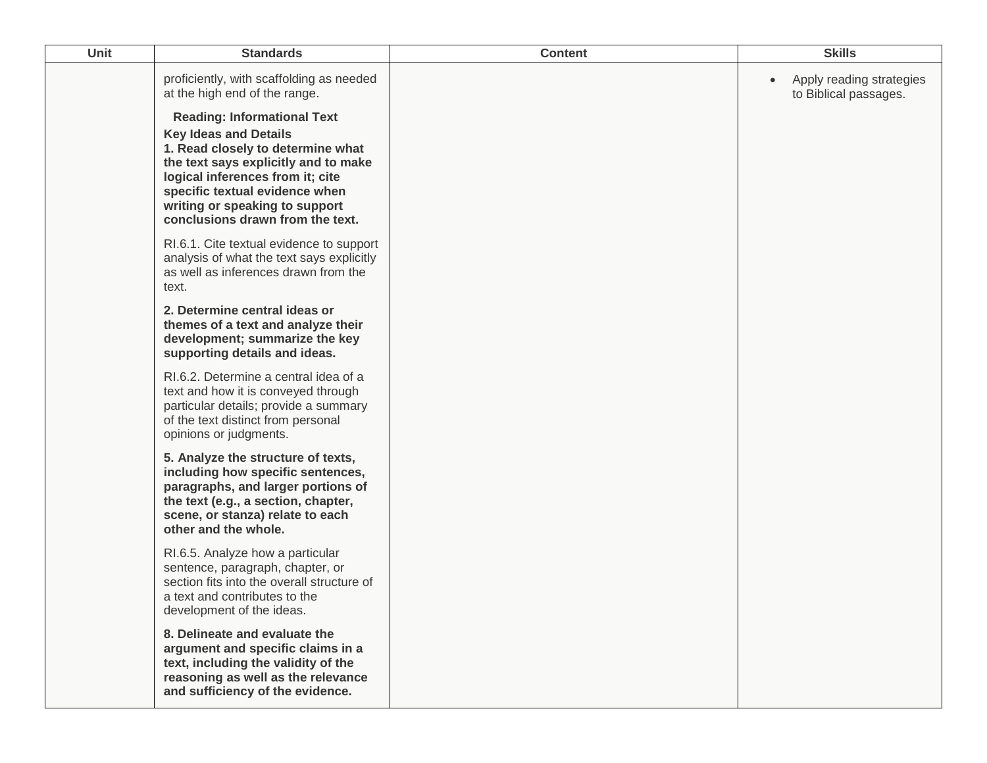| Unit | <b>Standards</b>                                                                                                                                                                                                                                                                                                                                                         | <b>Content</b> | <b>Skills</b>                                     |
|------|--------------------------------------------------------------------------------------------------------------------------------------------------------------------------------------------------------------------------------------------------------------------------------------------------------------------------------------------------------------------------|----------------|---------------------------------------------------|
|      | proficiently, with scaffolding as needed<br>at the high end of the range.<br><b>Reading: Informational Text</b><br><b>Key Ideas and Details</b><br>1. Read closely to determine what<br>the text says explicitly and to make<br>logical inferences from it; cite<br>specific textual evidence when<br>writing or speaking to support<br>conclusions drawn from the text. |                | Apply reading strategies<br>to Biblical passages. |
|      | RI.6.1. Cite textual evidence to support<br>analysis of what the text says explicitly<br>as well as inferences drawn from the<br>text.                                                                                                                                                                                                                                   |                |                                                   |
|      | 2. Determine central ideas or<br>themes of a text and analyze their<br>development; summarize the key<br>supporting details and ideas.                                                                                                                                                                                                                                   |                |                                                   |
|      | RI.6.2. Determine a central idea of a<br>text and how it is conveyed through<br>particular details; provide a summary<br>of the text distinct from personal<br>opinions or judgments.                                                                                                                                                                                    |                |                                                   |
|      | 5. Analyze the structure of texts,<br>including how specific sentences,<br>paragraphs, and larger portions of<br>the text (e.g., a section, chapter,<br>scene, or stanza) relate to each<br>other and the whole.                                                                                                                                                         |                |                                                   |
|      | RI.6.5. Analyze how a particular<br>sentence, paragraph, chapter, or<br>section fits into the overall structure of<br>a text and contributes to the<br>development of the ideas.                                                                                                                                                                                         |                |                                                   |
|      | 8. Delineate and evaluate the<br>argument and specific claims in a<br>text, including the validity of the<br>reasoning as well as the relevance<br>and sufficiency of the evidence.                                                                                                                                                                                      |                |                                                   |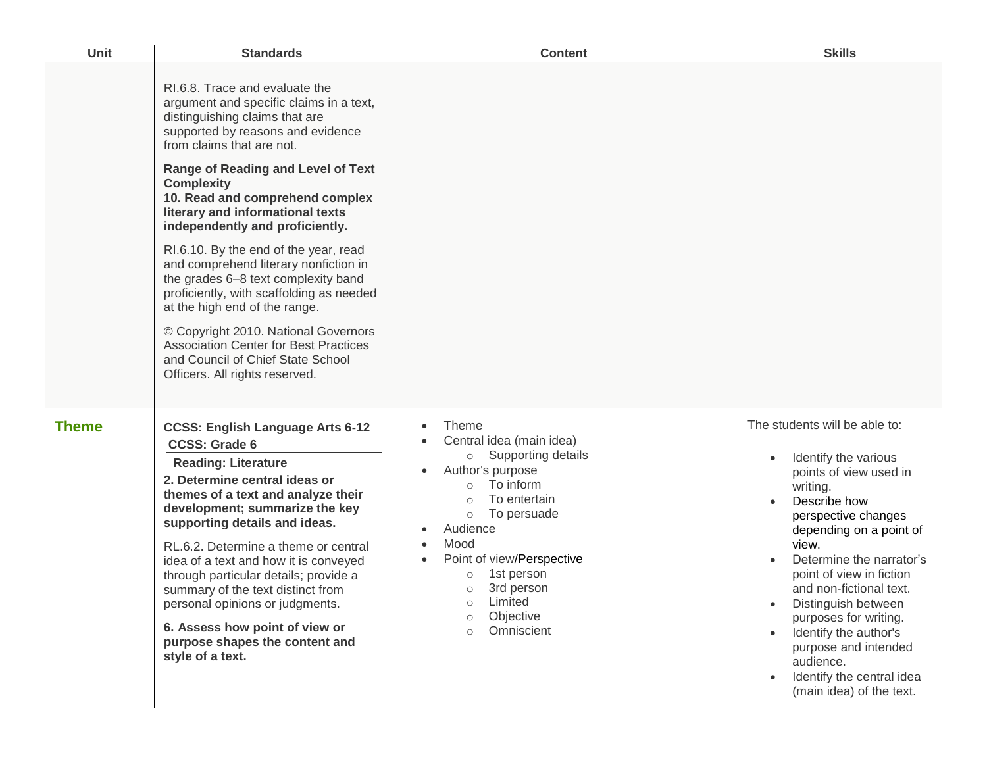| Unit         | <b>Standards</b>                                                                                                                                                                                                                                                                                                                                                                                                                                                                                                                                                                                                                                        | <b>Content</b>                                                                                                                                                                                                                                                                                                                                                                | <b>Skills</b>                                                                                                                                                                                                                                                                                                                                                                                                                    |
|--------------|---------------------------------------------------------------------------------------------------------------------------------------------------------------------------------------------------------------------------------------------------------------------------------------------------------------------------------------------------------------------------------------------------------------------------------------------------------------------------------------------------------------------------------------------------------------------------------------------------------------------------------------------------------|-------------------------------------------------------------------------------------------------------------------------------------------------------------------------------------------------------------------------------------------------------------------------------------------------------------------------------------------------------------------------------|----------------------------------------------------------------------------------------------------------------------------------------------------------------------------------------------------------------------------------------------------------------------------------------------------------------------------------------------------------------------------------------------------------------------------------|
|              | RI.6.8. Trace and evaluate the<br>argument and specific claims in a text,<br>distinguishing claims that are<br>supported by reasons and evidence<br>from claims that are not.<br><b>Range of Reading and Level of Text</b><br><b>Complexity</b><br>10. Read and comprehend complex<br>literary and informational texts<br>independently and proficiently.<br>RI.6.10. By the end of the year, read<br>and comprehend literary nonfiction in<br>the grades 6-8 text complexity band<br>proficiently, with scaffolding as needed<br>at the high end of the range.<br>© Copyright 2010. National Governors<br><b>Association Center for Best Practices</b> |                                                                                                                                                                                                                                                                                                                                                                               |                                                                                                                                                                                                                                                                                                                                                                                                                                  |
|              | and Council of Chief State School<br>Officers. All rights reserved.                                                                                                                                                                                                                                                                                                                                                                                                                                                                                                                                                                                     |                                                                                                                                                                                                                                                                                                                                                                               |                                                                                                                                                                                                                                                                                                                                                                                                                                  |
| <b>Theme</b> | <b>CCSS: English Language Arts 6-12</b><br><b>CCSS: Grade 6</b><br><b>Reading: Literature</b><br>2. Determine central ideas or<br>themes of a text and analyze their<br>development; summarize the key<br>supporting details and ideas.<br>RL.6.2. Determine a theme or central<br>idea of a text and how it is conveyed<br>through particular details; provide a<br>summary of the text distinct from<br>personal opinions or judgments.<br>6. Assess how point of view or<br>purpose shapes the content and<br>style of a text.                                                                                                                       | <b>Theme</b><br>$\bullet$<br>Central idea (main idea)<br>$\bullet$<br>o Supporting details<br>Author's purpose<br>$\bullet$<br>To inform<br>$\circ$<br>To entertain<br>To persuade<br>$\circ$<br>Audience<br>$\bullet$<br>Mood<br>$\bullet$<br>Point of view/Perspective<br>1st person<br>3rd person<br>$\circ$<br>o Limited<br>Objective<br>$\circ$<br>Omniscient<br>$\circ$ | The students will be able to:<br>Identify the various<br>points of view used in<br>writing.<br>Describe how<br>perspective changes<br>depending on a point of<br>view.<br>Determine the narrator's<br>point of view in fiction<br>and non-fictional text.<br>Distinguish between<br>purposes for writing.<br>Identify the author's<br>purpose and intended<br>audience.<br>Identify the central idea<br>(main idea) of the text. |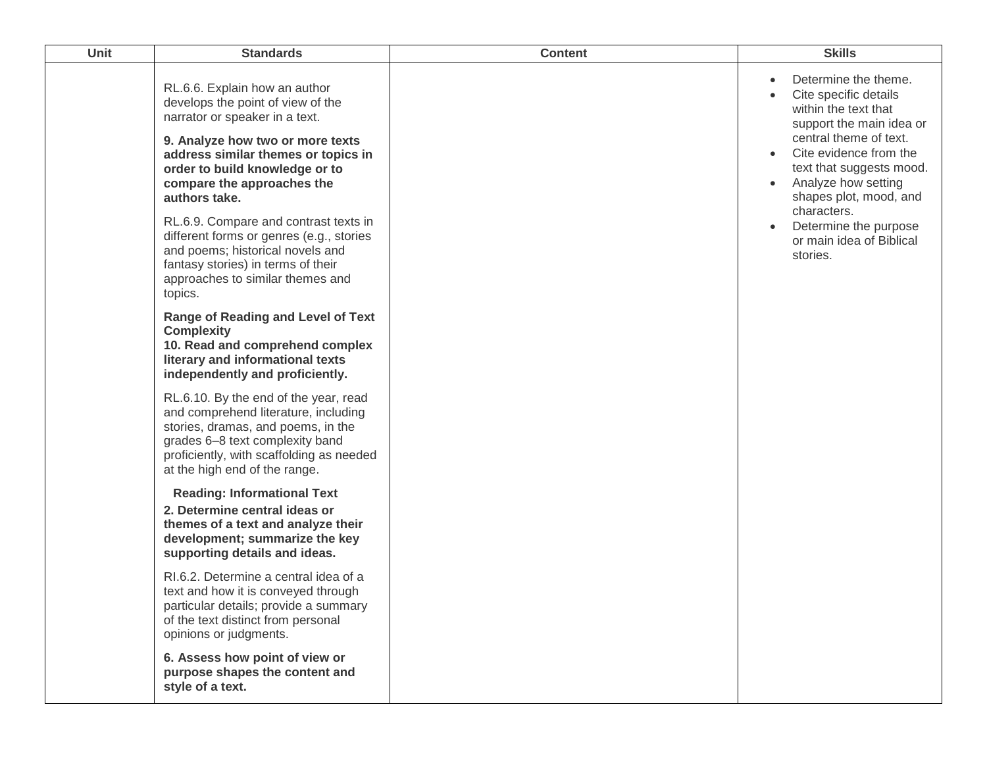| <b>Unit</b> | <b>Standards</b>                                                                                                                                                                                                                                                 | <b>Content</b> | <b>Skills</b>                                                                                                                                                                                                                                                             |
|-------------|------------------------------------------------------------------------------------------------------------------------------------------------------------------------------------------------------------------------------------------------------------------|----------------|---------------------------------------------------------------------------------------------------------------------------------------------------------------------------------------------------------------------------------------------------------------------------|
|             | RL.6.6. Explain how an author<br>develops the point of view of the<br>narrator or speaker in a text.<br>9. Analyze how two or more texts<br>address similar themes or topics in<br>order to build knowledge or to<br>compare the approaches the<br>authors take. |                | Determine the theme.<br>$\bullet$<br>Cite specific details<br>within the text that<br>support the main idea or<br>central theme of text.<br>Cite evidence from the<br>$\bullet$<br>text that suggests mood.<br>Analyze how setting<br>$\bullet$<br>shapes plot, mood, and |
|             | RL.6.9. Compare and contrast texts in<br>different forms or genres (e.g., stories<br>and poems; historical novels and<br>fantasy stories) in terms of their<br>approaches to similar themes and<br>topics.                                                       |                | characters.<br>Determine the purpose<br>or main idea of Biblical<br>stories.                                                                                                                                                                                              |
|             | <b>Range of Reading and Level of Text</b><br><b>Complexity</b><br>10. Read and comprehend complex<br>literary and informational texts<br>independently and proficiently.                                                                                         |                |                                                                                                                                                                                                                                                                           |
|             | RL.6.10. By the end of the year, read<br>and comprehend literature, including<br>stories, dramas, and poems, in the<br>grades 6-8 text complexity band<br>proficiently, with scaffolding as needed<br>at the high end of the range.                              |                |                                                                                                                                                                                                                                                                           |
|             | <b>Reading: Informational Text</b><br>2. Determine central ideas or<br>themes of a text and analyze their<br>development; summarize the key<br>supporting details and ideas.                                                                                     |                |                                                                                                                                                                                                                                                                           |
|             | RI.6.2. Determine a central idea of a<br>text and how it is conveyed through<br>particular details; provide a summary<br>of the text distinct from personal<br>opinions or judgments.                                                                            |                |                                                                                                                                                                                                                                                                           |
|             | 6. Assess how point of view or<br>purpose shapes the content and<br>style of a text.                                                                                                                                                                             |                |                                                                                                                                                                                                                                                                           |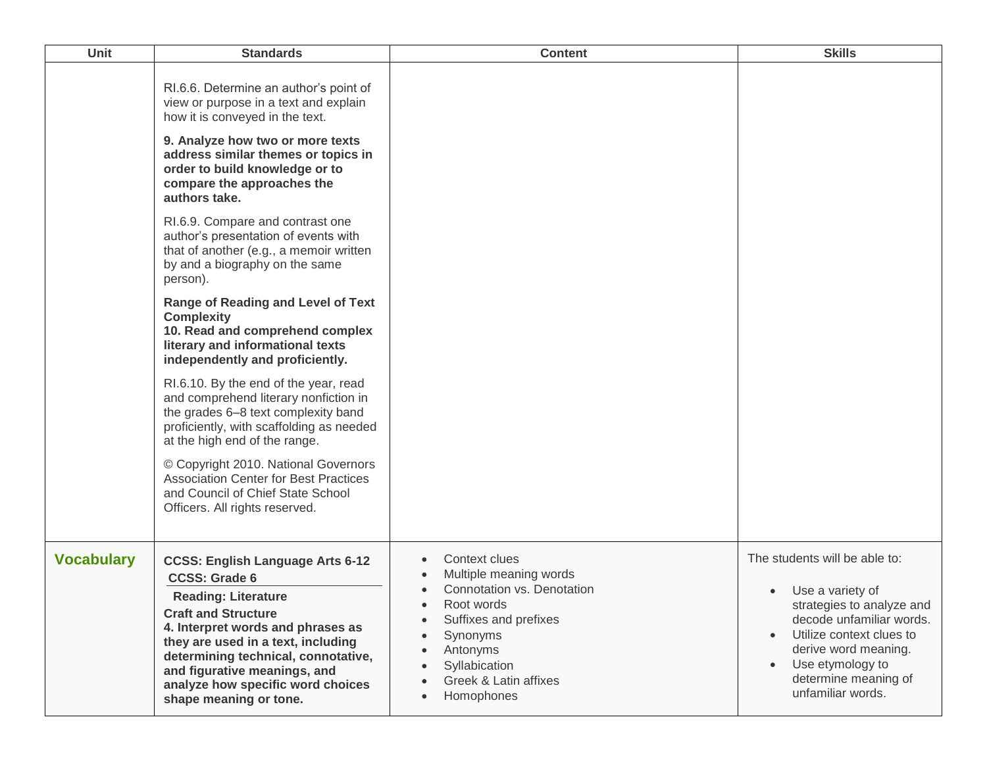| Unit              | <b>Standards</b>                                                                                                                                                                                                                                                                                                                             | <b>Content</b>                                                                                                                                                                                            | <b>Skills</b>                                                                                                                                                                                                                                             |
|-------------------|----------------------------------------------------------------------------------------------------------------------------------------------------------------------------------------------------------------------------------------------------------------------------------------------------------------------------------------------|-----------------------------------------------------------------------------------------------------------------------------------------------------------------------------------------------------------|-----------------------------------------------------------------------------------------------------------------------------------------------------------------------------------------------------------------------------------------------------------|
|                   | RI.6.6. Determine an author's point of<br>view or purpose in a text and explain<br>how it is conveyed in the text.<br>9. Analyze how two or more texts<br>address similar themes or topics in<br>order to build knowledge or to<br>compare the approaches the<br>authors take.                                                               |                                                                                                                                                                                                           |                                                                                                                                                                                                                                                           |
|                   | RI.6.9. Compare and contrast one<br>author's presentation of events with<br>that of another (e.g., a memoir written<br>by and a biography on the same<br>person).                                                                                                                                                                            |                                                                                                                                                                                                           |                                                                                                                                                                                                                                                           |
|                   | <b>Range of Reading and Level of Text</b><br><b>Complexity</b><br>10. Read and comprehend complex<br>literary and informational texts<br>independently and proficiently.                                                                                                                                                                     |                                                                                                                                                                                                           |                                                                                                                                                                                                                                                           |
|                   | RI.6.10. By the end of the year, read<br>and comprehend literary nonfiction in<br>the grades 6-8 text complexity band<br>proficiently, with scaffolding as needed<br>at the high end of the range.                                                                                                                                           |                                                                                                                                                                                                           |                                                                                                                                                                                                                                                           |
|                   | © Copyright 2010. National Governors<br><b>Association Center for Best Practices</b><br>and Council of Chief State School<br>Officers. All rights reserved.                                                                                                                                                                                  |                                                                                                                                                                                                           |                                                                                                                                                                                                                                                           |
| <b>Vocabulary</b> | <b>CCSS: English Language Arts 6-12</b><br><b>CCSS: Grade 6</b><br><b>Reading: Literature</b><br><b>Craft and Structure</b><br>4. Interpret words and phrases as<br>they are used in a text, including<br>determining technical, connotative,<br>and figurative meanings, and<br>analyze how specific word choices<br>shape meaning or tone. | Context clues<br>Multiple meaning words<br>Connotation vs. Denotation<br>Root words<br>$\bullet$<br>Suffixes and prefixes<br>Synonyms<br>Antonyms<br>Syllabication<br>Greek & Latin affixes<br>Homophones | The students will be able to:<br>Use a variety of<br>strategies to analyze and<br>decode unfamiliar words.<br>Utilize context clues to<br>$\bullet$<br>derive word meaning.<br>Use etymology to<br>$\bullet$<br>determine meaning of<br>unfamiliar words. |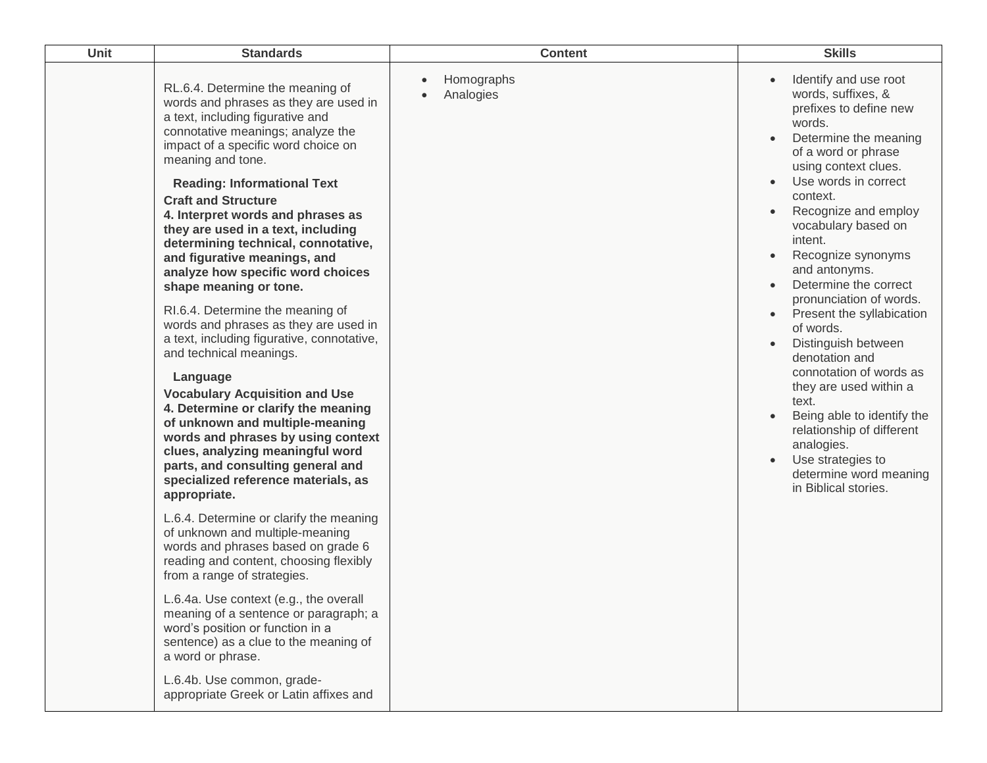| Unit | <b>Standards</b>                                                                                                                                                                                                                                                                                  | <b>Content</b>                       | <b>Skills</b>                                                                                                                                                                                              |
|------|---------------------------------------------------------------------------------------------------------------------------------------------------------------------------------------------------------------------------------------------------------------------------------------------------|--------------------------------------|------------------------------------------------------------------------------------------------------------------------------------------------------------------------------------------------------------|
|      | RL.6.4. Determine the meaning of<br>words and phrases as they are used in<br>a text, including figurative and<br>connotative meanings; analyze the<br>impact of a specific word choice on<br>meaning and tone.                                                                                    | Homographs<br>Analogies<br>$\bullet$ | Identify and use root<br>words, suffixes, &<br>prefixes to define new<br>words.<br>Determine the meaning<br>of a word or phrase<br>using context clues.                                                    |
|      | <b>Reading: Informational Text</b><br><b>Craft and Structure</b><br>4. Interpret words and phrases as<br>they are used in a text, including<br>determining technical, connotative,<br>and figurative meanings, and<br>analyze how specific word choices<br>shape meaning or tone.                 |                                      | Use words in correct<br>context.<br>Recognize and employ<br>vocabulary based on<br>intent.<br>Recognize synonyms<br>and antonyms.<br>Determine the correct<br>pronunciation of words.                      |
|      | RI.6.4. Determine the meaning of<br>words and phrases as they are used in<br>a text, including figurative, connotative,<br>and technical meanings.                                                                                                                                                |                                      | Present the syllabication<br>$\bullet$<br>of words.<br>Distinguish between<br>denotation and                                                                                                               |
|      | Language<br><b>Vocabulary Acquisition and Use</b><br>4. Determine or clarify the meaning<br>of unknown and multiple-meaning<br>words and phrases by using context<br>clues, analyzing meaningful word<br>parts, and consulting general and<br>specialized reference materials, as<br>appropriate. |                                      | connotation of words as<br>they are used within a<br>text.<br>Being able to identify the<br>relationship of different<br>analogies.<br>Use strategies to<br>determine word meaning<br>in Biblical stories. |
|      | L.6.4. Determine or clarify the meaning<br>of unknown and multiple-meaning<br>words and phrases based on grade 6<br>reading and content, choosing flexibly<br>from a range of strategies.                                                                                                         |                                      |                                                                                                                                                                                                            |
|      | L.6.4a. Use context (e.g., the overall<br>meaning of a sentence or paragraph; a<br>word's position or function in a<br>sentence) as a clue to the meaning of<br>a word or phrase.                                                                                                                 |                                      |                                                                                                                                                                                                            |
|      | L.6.4b. Use common, grade-<br>appropriate Greek or Latin affixes and                                                                                                                                                                                                                              |                                      |                                                                                                                                                                                                            |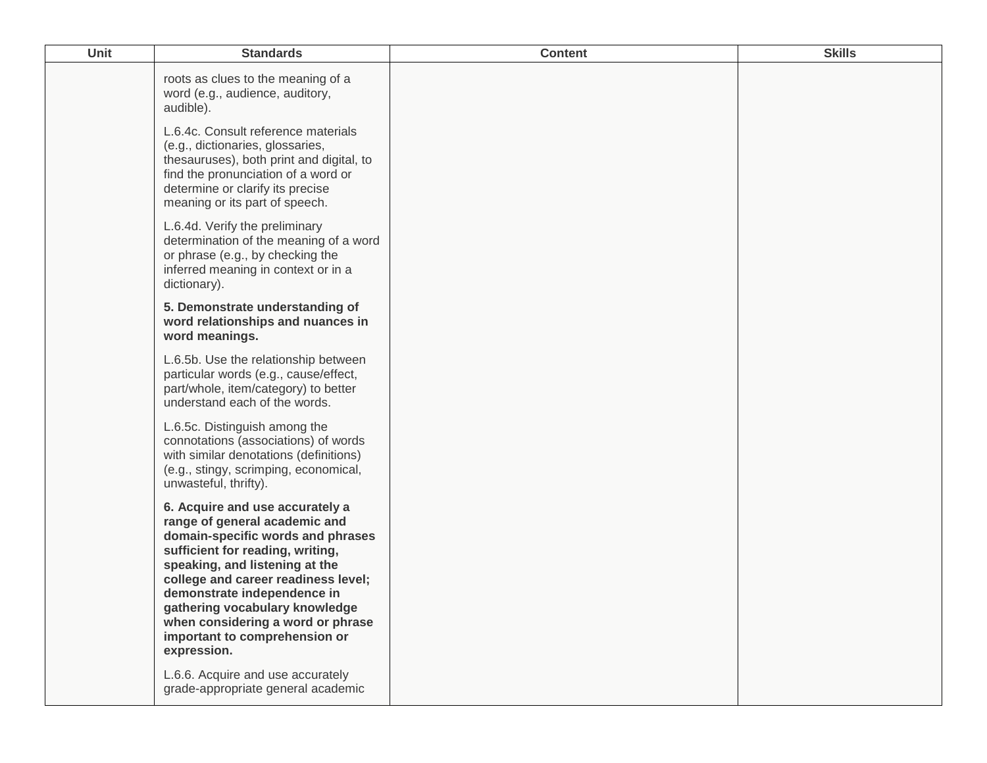| <b>Unit</b> | <b>Standards</b>                                                                                                                                                                                                                                                                                                                                                         | <b>Content</b> | <b>Skills</b> |
|-------------|--------------------------------------------------------------------------------------------------------------------------------------------------------------------------------------------------------------------------------------------------------------------------------------------------------------------------------------------------------------------------|----------------|---------------|
|             | roots as clues to the meaning of a<br>word (e.g., audience, auditory,<br>audible).                                                                                                                                                                                                                                                                                       |                |               |
|             | L.6.4c. Consult reference materials<br>(e.g., dictionaries, glossaries,<br>thesauruses), both print and digital, to<br>find the pronunciation of a word or<br>determine or clarify its precise<br>meaning or its part of speech.                                                                                                                                         |                |               |
|             | L.6.4d. Verify the preliminary<br>determination of the meaning of a word<br>or phrase (e.g., by checking the<br>inferred meaning in context or in a<br>dictionary).                                                                                                                                                                                                      |                |               |
|             | 5. Demonstrate understanding of<br>word relationships and nuances in<br>word meanings.                                                                                                                                                                                                                                                                                   |                |               |
|             | L.6.5b. Use the relationship between<br>particular words (e.g., cause/effect,<br>part/whole, item/category) to better<br>understand each of the words.                                                                                                                                                                                                                   |                |               |
|             | L.6.5c. Distinguish among the<br>connotations (associations) of words<br>with similar denotations (definitions)<br>(e.g., stingy, scrimping, economical,<br>unwasteful, thrifty).                                                                                                                                                                                        |                |               |
|             | 6. Acquire and use accurately a<br>range of general academic and<br>domain-specific words and phrases<br>sufficient for reading, writing,<br>speaking, and listening at the<br>college and career readiness level;<br>demonstrate independence in<br>gathering vocabulary knowledge<br>when considering a word or phrase<br>important to comprehension or<br>expression. |                |               |
|             | L.6.6. Acquire and use accurately<br>grade-appropriate general academic                                                                                                                                                                                                                                                                                                  |                |               |